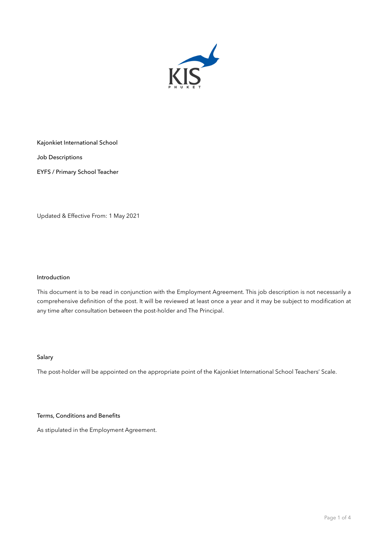

Kajonkiet International School

Job Descriptions

EYFS / Primary School Teacher

Updated & Effective From: 1 May 2021

# Introduction

This document is to be read in conjunction with the Employment Agreement. This job description is not necessarily a comprehensive definition of the post. It will be reviewed at least once a year and it may be subject to modification at any time after consultation between the post-holder and The Principal.

# Salary

The post-holder will be appointed on the appropriate point of the Kajonkiet International School Teachers' Scale.

### Terms, Conditions and Benefits

As stipulated in the Employment Agreement.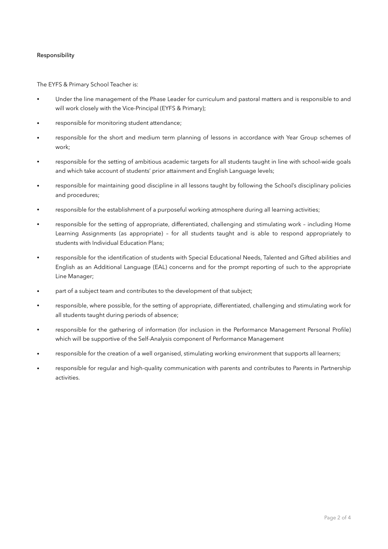## Responsibility

The EYFS & Primary School Teacher is:

- Under the line management of the Phase Leader for curriculum and pastoral matters and is responsible to and will work closely with the Vice-Principal (EYFS & Primary);
- responsible for monitoring student attendance;
- responsible for the short and medium term planning of lessons in accordance with Year Group schemes of work;
- responsible for the setting of ambitious academic targets for all students taught in line with school-wide goals and which take account of students' prior attainment and English Language levels;
- responsible for maintaining good discipline in all lessons taught by following the School's disciplinary policies and procedures;
- responsible for the establishment of a purposeful working atmosphere during all learning activities;
- responsible for the setting of appropriate, differentiated, challenging and stimulating work including Home Learning Assignments (as appropriate) – for all students taught and is able to respond appropriately to students with Individual Education Plans;
- responsible for the identification of students with Special Educational Needs, Talented and Gifted abilities and English as an Additional Language (EAL) concerns and for the prompt reporting of such to the appropriate Line Manager;
- part of a subject team and contributes to the development of that subject;
- responsible, where possible, for the setting of appropriate, differentiated, challenging and stimulating work for all students taught during periods of absence;
- responsible for the gathering of information (for inclusion in the Performance Management Personal Profile) which will be supportive of the Self-Analysis component of Performance Management
- responsible for the creation of a well organised, stimulating working environment that supports all learners;
- responsible for regular and high-quality communication with parents and contributes to Parents in Partnership activities.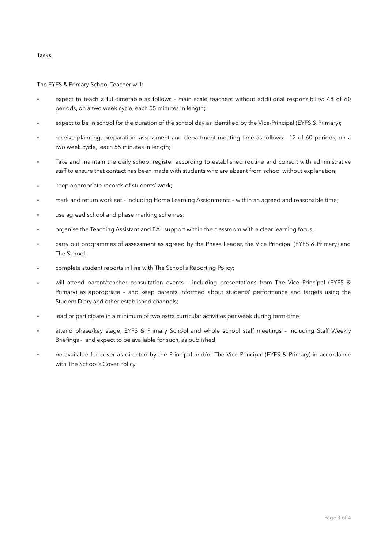### Tasks

The EYFS & Primary School Teacher will:

- expect to teach a full-timetable as follows main scale teachers without additional responsibility: 48 of 60 periods, on a two week cycle, each 55 minutes in length;
- expect to be in school for the duration of the school day as identified by the Vice-Principal (EYFS & Primary);
- receive planning, preparation, assessment and department meeting time as follows 12 of 60 periods, on a two week cycle, each 55 minutes in length;
- Take and maintain the daily school register according to established routine and consult with administrative staff to ensure that contact has been made with students who are absent from school without explanation;
- keep appropriate records of students' work;
- mark and return work set including Home Learning Assignments within an agreed and reasonable time;
- use agreed school and phase marking schemes;
- organise the Teaching Assistant and EAL support within the classroom with a clear learning focus;
- carry out programmes of assessment as agreed by the Phase Leader, the Vice Principal (EYFS & Primary) and The School;
- complete student reports in line with The School's Reporting Policy;
- will attend parent/teacher consultation events including presentations from The Vice Principal (EYFS & Primary) as appropriate – and keep parents informed about students' performance and targets using the Student Diary and other established channels;
- lead or participate in a minimum of two extra curricular activities per week during term-time;
- attend phase/key stage, EYFS & Primary School and whole school staff meetings including Staff Weekly Briefings - and expect to be available for such, as published;
- be available for cover as directed by the Principal and/or The Vice Principal (EYFS & Primary) in accordance with The School's Cover Policy.